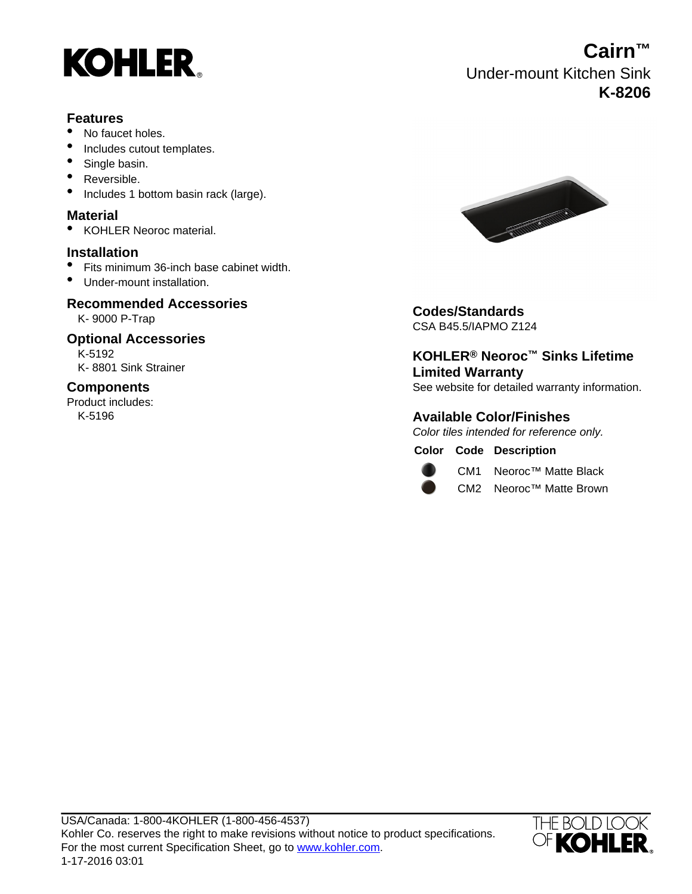

#### **Features**

- No faucet holes.
- Includes cutout templates.
- Single basin.
- Reversible.
- Includes 1 bottom basin rack (large).

### **Material**

• KOHLER Neoroc material.

#### **Installation**

- Fits minimum 36-inch base cabinet width.
- Under-mount installation.

# **Recommended Accessories**<br>K-9000 P-Trap

# **Optional Accessories**

K-5192 K- 8801 Sink Strainer

#### **Components**

Product includes: K-5196



K- 9000 P-Trap **Codes/Standards** CSA B45.5/IAPMO Z124

**KOHLER® Neoroc™ Sinks Lifetime Limited Warranty** See website for detailed warranty information.

### **Available Color/Finishes**

Color tiles intended for reference only.

#### **Color Code Description**



CM1 Neoroc™ Matte Black

CM2 Neoroc™ Matte Brown



## **Cairn™** Under-mount Kitchen Sink **K-8206**